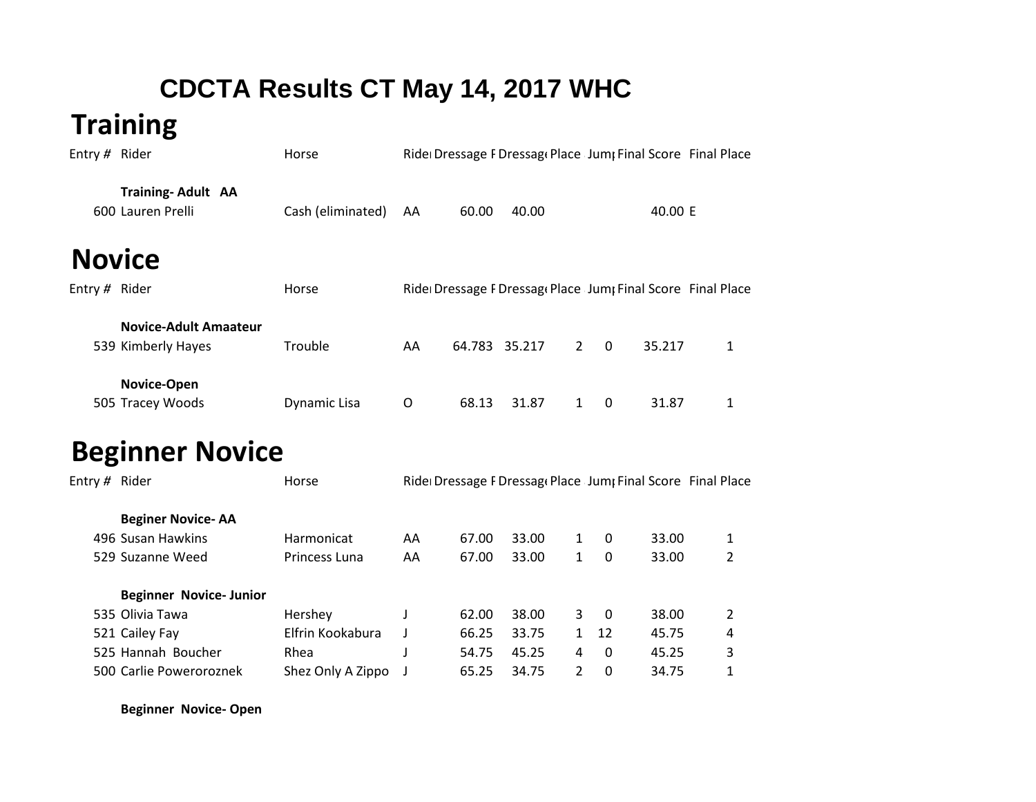## **CDCTA Results CT May 14, 2017 WHC**

## **Training**

| Entry $#$ Rider |                                                    | Horse             |     |        | Ride Dressage F Dressage Place Jump Final Score Final Place |             |          |         |   |
|-----------------|----------------------------------------------------|-------------------|-----|--------|-------------------------------------------------------------|-------------|----------|---------|---|
|                 | <b>Training-Adult AA</b><br>600 Lauren Prelli      | Cash (eliminated) | AA  | 60.00  | 40.00                                                       |             |          | 40.00 E |   |
|                 | <b>Novice</b>                                      |                   |     |        |                                                             |             |          |         |   |
| Entry # Rider   |                                                    | Horse             |     |        | Ride Dressage F Dressage Place Jump Final Score Final Place |             |          |         |   |
|                 | <b>Novice-Adult Amaateur</b><br>539 Kimberly Hayes | Trouble           | AA. | 64.783 | 35.217                                                      | $2^{\circ}$ | $\Omega$ | 35.217  | 1 |
|                 | Novice-Open<br>505 Tracey Woods                    | Dynamic Lisa      | O   | 68.13  | 31.87                                                       |             | $\Omega$ | 31.87   | 1 |

## **Beginner Novice**

| Entry # Rider |                               | Ride Dressage F Dressag Place Jum; Final Score Final Place<br>Horse |    |       |       |               |          |       |   |  |
|---------------|-------------------------------|---------------------------------------------------------------------|----|-------|-------|---------------|----------|-------|---|--|
|               | <b>Beginer Novice-AA</b>      |                                                                     |    |       |       |               |          |       |   |  |
|               | 496 Susan Hawkins             | Harmonicat                                                          | AA | 67.00 | 33.00 | $\mathbf{1}$  | 0        | 33.00 | 1 |  |
|               | 529 Suzanne Weed              | <b>Princess Luna</b>                                                | AA | 67.00 | 33.00 | $\mathbf{1}$  | 0        | 33.00 | 2 |  |
|               | <b>Beginner Novice-Junior</b> |                                                                     |    |       |       |               |          |       |   |  |
|               | 535 Olivia Tawa               | Hershey                                                             |    | 62.00 | 38.00 | 3             | - 0      | 38.00 | 2 |  |
|               | 521 Cailey Fay                | Elfrin Kookabura                                                    |    | 66.25 | 33.75 | $\mathbf{1}$  | 12       | 45.75 | 4 |  |
|               | 525 Hannah Boucher            | Rhea                                                                |    | 54.75 | 45.25 | 4             | $\Omega$ | 45.25 | 3 |  |
|               | 500 Carlie Poweroroznek       | Shez Only A Zippo                                                   |    | 65.25 | 34.75 | $\mathcal{L}$ | 0        | 34.75 | 1 |  |
|               |                               |                                                                     |    |       |       |               |          |       |   |  |

**Beginner Novice- Open**